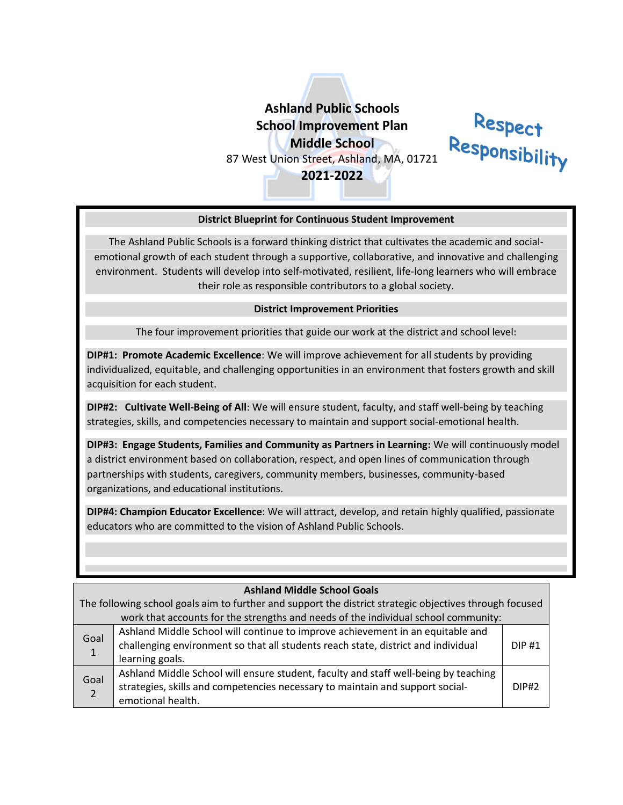# **Ashland Public Schools School Improvement Plan Middle School** 87 West Union Street, Ashland, MA, 01721

**2021-2022**



#### **District Blueprint for Continuous Student Improvement**

The Ashland Public Schools is a forward thinking district that cultivates the academic and socialemotional growth of each student through a supportive, collaborative, and innovative and challenging environment. Students will develop into self-motivated, resilient, life-long learners who will embrace their role as responsible contributors to a global society.

#### **District Improvement Priorities**

The four improvement priorities that guide our work at the district and school level:

**DIP#1: Promote Academic Excellence**: We will improve achievement for all students by providing individualized, equitable, and challenging opportunities in an environment that fosters growth and skill acquisition for each student.

**DIP#2: Cultivate Well-Being of All**: We will ensure student, faculty, and staff well-being by teaching strategies, skills, and competencies necessary to maintain and support social-emotional health.

**DIP#3: Engage Students, Families and Community as Partners in Learning:** We will continuously model a district environment based on collaboration, respect, and open lines of communication through partnerships with students, caregivers, community members, businesses, community-based organizations, and educational institutions.

**DIP#4: Champion Educator Excellence**: We will attract, develop, and retain highly qualified, passionate educators who are committed to the vision of Ashland Public Schools.

| <b>Ashland Middle School Goals</b>                                                                      |                                                                                                                                                                                           |              |  |
|---------------------------------------------------------------------------------------------------------|-------------------------------------------------------------------------------------------------------------------------------------------------------------------------------------------|--------------|--|
| The following school goals aim to further and support the district strategic objectives through focused |                                                                                                                                                                                           |              |  |
| work that accounts for the strengths and needs of the individual school community:                      |                                                                                                                                                                                           |              |  |
| Goal<br>$\mathbf{1}$                                                                                    | Ashland Middle School will continue to improve achievement in an equitable and<br>challenging environment so that all students reach state, district and individual<br>learning goals.    | <b>DIP#1</b> |  |
| Goal                                                                                                    | Ashland Middle School will ensure student, faculty and staff well-being by teaching<br>strategies, skills and competencies necessary to maintain and support social-<br>emotional health. | DIP#2        |  |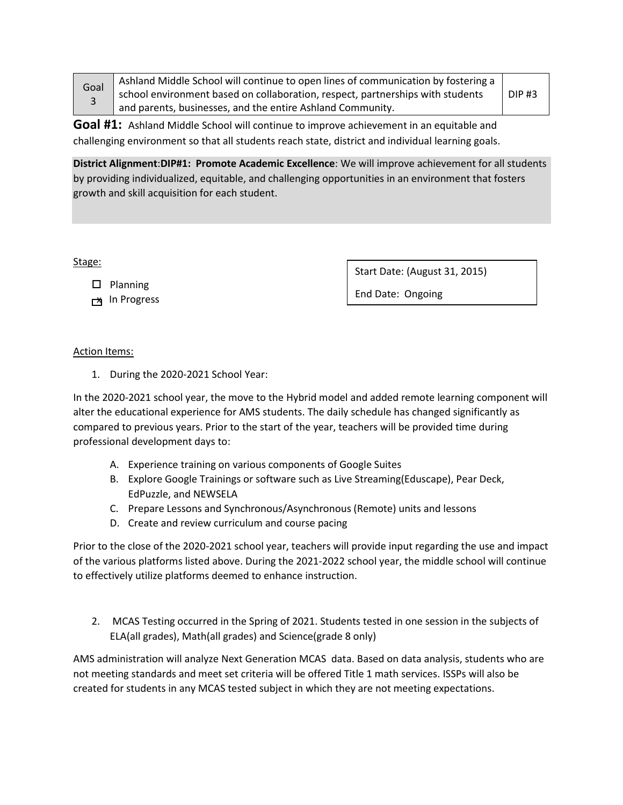| Goal<br>3 | Ashland Middle School will continue to open lines of communication by fostering a |              |
|-----------|-----------------------------------------------------------------------------------|--------------|
|           | school environment based on collaboration, respect, partnerships with students    | <b>DIP#3</b> |
|           | and parents, businesses, and the entire Ashland Community.                        |              |

**Goal #1:** Ashland Middle School will continue to improve achievement in an equitable and challenging environment so that all students reach state, district and individual learning goals.

**District Alignment**:**DIP#1: Promote Academic Excellence**: We will improve achievement for all students by providing individualized, equitable, and challenging opportunities in an environment that fosters growth and skill acquisition for each student.

Stage:

 $\square$  Planning

**x** In Progress

Start Date: (August 31, 2015)

End Date: Ongoing

### Action Items:

1. During the 2020-2021 School Year:

In the 2020-2021 school year, the move to the Hybrid model and added remote learning component will alter the educational experience for AMS students. The daily schedule has changed significantly as compared to previous years. Prior to the start of the year, teachers will be provided time during professional development days to:

- A. Experience training on various components of Google Suites
- B. Explore Google Trainings or software such as Live Streaming(Eduscape), Pear Deck, EdPuzzle, and NEWSELA
- C. Prepare Lessons and Synchronous/Asynchronous (Remote) units and lessons
- D. Create and review curriculum and course pacing

Prior to the close of the 2020-2021 school year, teachers will provide input regarding the use and impact of the various platforms listed above. During the 2021-2022 school year, the middle school will continue to effectively utilize platforms deemed to enhance instruction.

2. MCAS Testing occurred in the Spring of 2021. Students tested in one session in the subjects of ELA(all grades), Math(all grades) and Science(grade 8 only)

AMS administration will analyze Next Generation MCAS data. Based on data analysis, students who are not meeting standards and meet set criteria will be offered Title 1 math services. ISSPs will also be created for students in any MCAS tested subject in which they are not meeting expectations.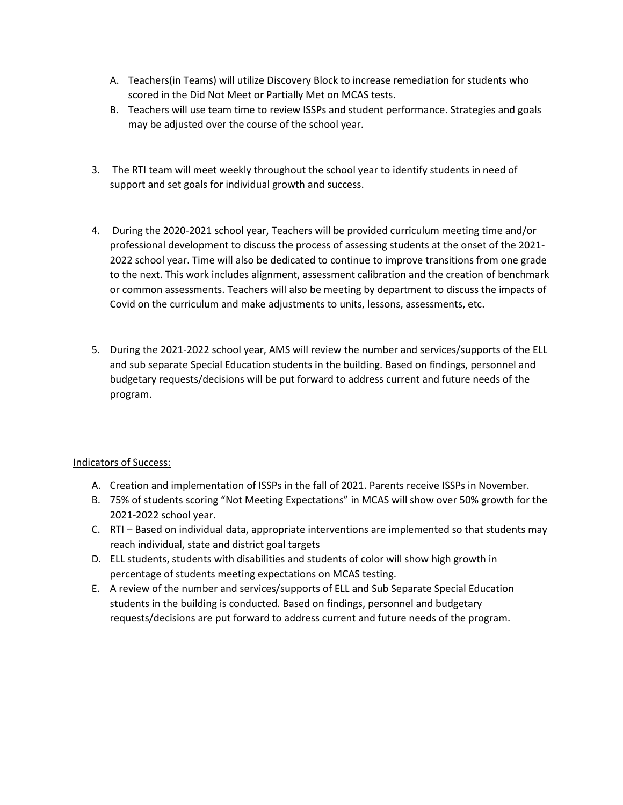- A. Teachers(in Teams) will utilize Discovery Block to increase remediation for students who scored in the Did Not Meet or Partially Met on MCAS tests.
- B. Teachers will use team time to review ISSPs and student performance. Strategies and goals may be adjusted over the course of the school year.
- 3. The RTI team will meet weekly throughout the school year to identify students in need of support and set goals for individual growth and success.
- 4. During the 2020-2021 school year, Teachers will be provided curriculum meeting time and/or professional development to discuss the process of assessing students at the onset of the 2021- 2022 school year. Time will also be dedicated to continue to improve transitions from one grade to the next. This work includes alignment, assessment calibration and the creation of benchmark or common assessments. Teachers will also be meeting by department to discuss the impacts of Covid on the curriculum and make adjustments to units, lessons, assessments, etc.
- 5. During the 2021-2022 school year, AMS will review the number and services/supports of the ELL and sub separate Special Education students in the building. Based on findings, personnel and budgetary requests/decisions will be put forward to address current and future needs of the program.

### Indicators of Success:

- A. Creation and implementation of ISSPs in the fall of 2021. Parents receive ISSPs in November.
- B. 75% of students scoring "Not Meeting Expectations" in MCAS will show over 50% growth for the 2021-2022 school year.
- C. RTI Based on individual data, appropriate interventions are implemented so that students may reach individual, state and district goal targets
- D. ELL students, students with disabilities and students of color will show high growth in percentage of students meeting expectations on MCAS testing.
- E. A review of the number and services/supports of ELL and Sub Separate Special Education students in the building is conducted. Based on findings, personnel and budgetary requests/decisions are put forward to address current and future needs of the program.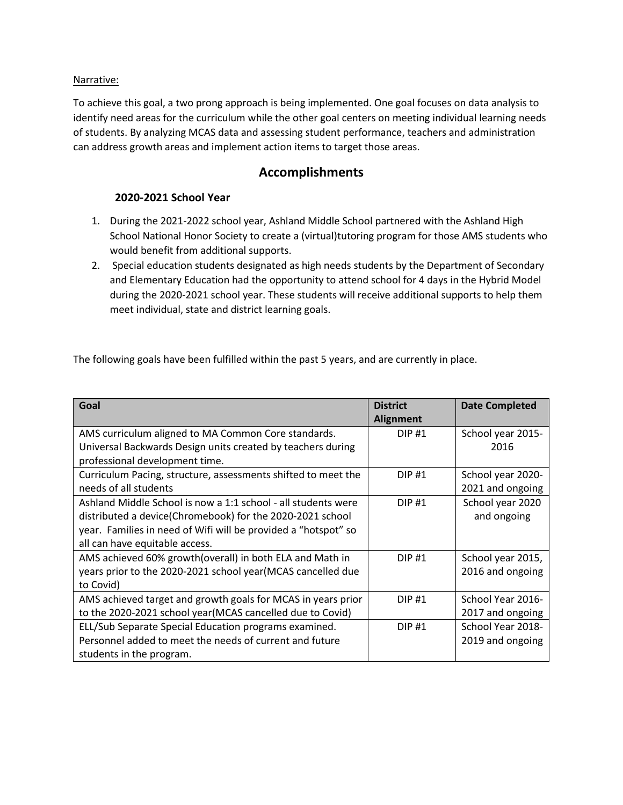#### Narrative:

To achieve this goal, a two prong approach is being implemented. One goal focuses on data analysis to identify need areas for the curriculum while the other goal centers on meeting individual learning needs of students. By analyzing MCAS data and assessing student performance, teachers and administration can address growth areas and implement action items to target those areas.

### **Accomplishments**

### **2020-2021 School Year**

- 1. During the 2021-2022 school year, Ashland Middle School partnered with the Ashland High School National Honor Society to create a (virtual)tutoring program for those AMS students who would benefit from additional supports.
- 2. Special education students designated as high needs students by the Department of Secondary and Elementary Education had the opportunity to attend school for 4 days in the Hybrid Model during the 2020-2021 school year. These students will receive additional supports to help them meet individual, state and district learning goals.

The following goals have been fulfilled within the past 5 years, and are currently in place.

| Goal                                                           | <b>District</b><br><b>Alignment</b> | <b>Date Completed</b> |
|----------------------------------------------------------------|-------------------------------------|-----------------------|
| AMS curriculum aligned to MA Common Core standards.            | <b>DIP#1</b>                        | School year 2015-     |
| Universal Backwards Design units created by teachers during    |                                     | 2016                  |
| professional development time.                                 |                                     |                       |
| Curriculum Pacing, structure, assessments shifted to meet the  | <b>DIP#1</b>                        | School year 2020-     |
| needs of all students                                          |                                     | 2021 and ongoing      |
| Ashland Middle School is now a 1:1 school - all students were  | <b>DIP#1</b>                        | School year 2020      |
| distributed a device(Chromebook) for the 2020-2021 school      |                                     | and ongoing           |
| year. Families in need of Wifi will be provided a "hotspot" so |                                     |                       |
| all can have equitable access.                                 |                                     |                       |
| AMS achieved 60% growth(overall) in both ELA and Math in       | DIP#1                               | School year 2015,     |
| years prior to the 2020-2021 school year (MCAS cancelled due   |                                     | 2016 and ongoing      |
| to Covid)                                                      |                                     |                       |
| AMS achieved target and growth goals for MCAS in years prior   | <b>DIP#1</b>                        | School Year 2016-     |
| to the 2020-2021 school year (MCAS cancelled due to Covid)     |                                     | 2017 and ongoing      |
| ELL/Sub Separate Special Education programs examined.          | <b>DIP#1</b>                        | School Year 2018-     |
| Personnel added to meet the needs of current and future        |                                     | 2019 and ongoing      |
| students in the program.                                       |                                     |                       |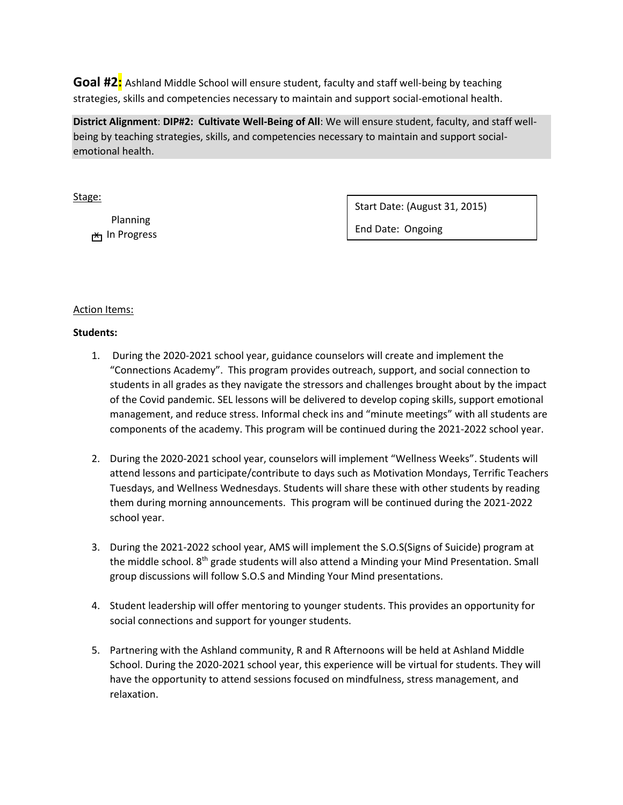**Goal #2:** Ashland Middle School will ensure student, faculty and staff well-being by teaching strategies, skills and competencies necessary to maintain and support social-emotional health.

**District Alignment**: **DIP#2: Cultivate Well-Being of All**: We will ensure student, faculty, and staff wellbeing by teaching strategies, skills, and competencies necessary to maintain and support socialemotional health.

Stage:

 Planning h Progress ל<del>א</del> Start Date: (August 31, 2015)

End Date: Ongoing

#### Action Items:

#### **Students:**

- 1. During the 2020-2021 school year, guidance counselors will create and implement the "Connections Academy". This program provides outreach, support, and social connection to students in all grades as they navigate the stressors and challenges brought about by the impact of the Covid pandemic. SEL lessons will be delivered to develop coping skills, support emotional management, and reduce stress. Informal check ins and "minute meetings" with all students are components of the academy. This program will be continued during the 2021-2022 school year.
- 2. During the 2020-2021 school year, counselors will implement "Wellness Weeks". Students will attend lessons and participate/contribute to days such as Motivation Mondays, Terrific Teachers Tuesdays, and Wellness Wednesdays. Students will share these with other students by reading them during morning announcements. This program will be continued during the 2021-2022 school year.
- 3. During the 2021-2022 school year, AMS will implement the S.O.S(Signs of Suicide) program at the middle school. 8<sup>th</sup> grade students will also attend a Minding your Mind Presentation. Small group discussions will follow S.O.S and Minding Your Mind presentations.
- 4. Student leadership will offer mentoring to younger students. This provides an opportunity for social connections and support for younger students.
- 5. Partnering with the Ashland community, R and R Afternoons will be held at Ashland Middle School. During the 2020-2021 school year, this experience will be virtual for students. They will have the opportunity to attend sessions focused on mindfulness, stress management, and relaxation.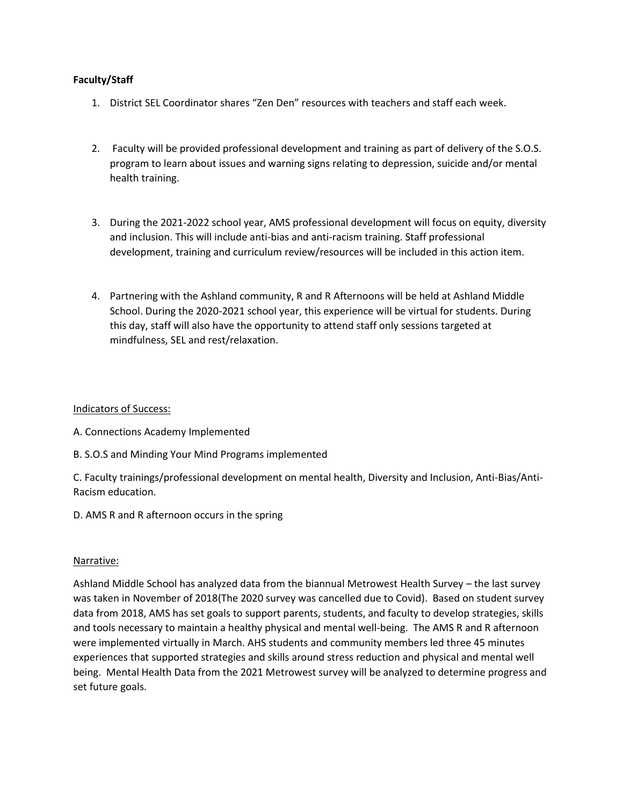#### **Faculty/Staff**

- 1. District SEL Coordinator shares "Zen Den" resources with teachers and staff each week.
- 2. Faculty will be provided professional development and training as part of delivery of the S.O.S. program to learn about issues and warning signs relating to depression, suicide and/or mental health training.
- 3. During the 2021-2022 school year, AMS professional development will focus on equity, diversity and inclusion. This will include anti-bias and anti-racism training. Staff professional development, training and curriculum review/resources will be included in this action item.
- 4. Partnering with the Ashland community, R and R Afternoons will be held at Ashland Middle School. During the 2020-2021 school year, this experience will be virtual for students. During this day, staff will also have the opportunity to attend staff only sessions targeted at mindfulness, SEL and rest/relaxation.

#### Indicators of Success:

- A. Connections Academy Implemented
- B. S.O.S and Minding Your Mind Programs implemented

C. Faculty trainings/professional development on mental health, Diversity and Inclusion, Anti-Bias/Anti-Racism education.

D. AMS R and R afternoon occurs in the spring

#### Narrative:

Ashland Middle School has analyzed data from the biannual Metrowest Health Survey – the last survey was taken in November of 2018(The 2020 survey was cancelled due to Covid). Based on student survey data from 2018, AMS has set goals to support parents, students, and faculty to develop strategies, skills and tools necessary to maintain a healthy physical and mental well-being. The AMS R and R afternoon were implemented virtually in March. AHS students and community members led three 45 minutes experiences that supported strategies and skills around stress reduction and physical and mental well being. Mental Health Data from the 2021 Metrowest survey will be analyzed to determine progress and set future goals.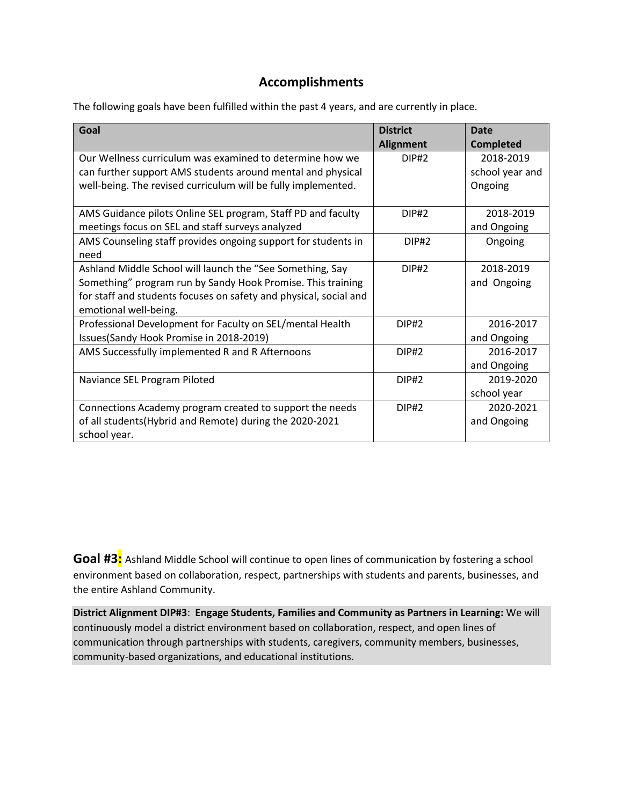## **Accomplishments**

The following goals have been fulfilled within the past 4 years, and are currently in place.

| Goal                                                                                                                                                                                                                   | <b>District</b><br><b>Alignment</b> | <b>Date</b><br><b>Completed</b>         |
|------------------------------------------------------------------------------------------------------------------------------------------------------------------------------------------------------------------------|-------------------------------------|-----------------------------------------|
| Our Wellness curriculum was examined to determine how we<br>can further support AMS students around mental and physical<br>well-being. The revised curriculum will be fully implemented.                               | <b>DIP#2</b>                        | 2018-2019<br>school year and<br>Ongoing |
| AMS Guidance pilots Online SEL program, Staff PD and faculty<br>meetings focus on SEL and staff surveys analyzed                                                                                                       | <b>DIP#2</b>                        | 2018-2019<br>and Ongoing                |
| AMS Counseling staff provides ongoing support for students in<br>need                                                                                                                                                  | DIP#2                               | Ongoing                                 |
| Ashland Middle School will launch the "See Something, Say<br>Something" program run by Sandy Hook Promise. This training<br>for staff and students focuses on safety and physical, social and<br>emotional well-being. | <b>DIP#2</b>                        | 2018-2019<br>and Ongoing                |
| Professional Development for Faculty on SEL/mental Health<br>Issues(Sandy Hook Promise in 2018-2019)                                                                                                                   | <b>DIP#2</b>                        | 2016-2017<br>and Ongoing                |
| AMS Successfully implemented R and R Afternoons                                                                                                                                                                        | <b>DIP#2</b>                        | 2016-2017<br>and Ongoing                |
| Naviance SEL Program Piloted                                                                                                                                                                                           | <b>DIP#2</b>                        | 2019-2020<br>school year                |
| Connections Academy program created to support the needs<br>of all students(Hybrid and Remote) during the 2020-2021<br>school year.                                                                                    | DIP#2                               | 2020-2021<br>and Ongoing                |

Goal #3: Ashland Middle School will continue to open lines of communication by fostering a school environment based on collaboration, respect, partnerships with students and parents, businesses, and the entire Ashland Community.

**District Alignment DIP#3**: **Engage Students, Families and Community as Partners in Learning:** We will continuously model a district environment based on collaboration, respect, and open lines of communication through partnerships with students, caregivers, community members, businesses, community-based organizations, and educational institutions.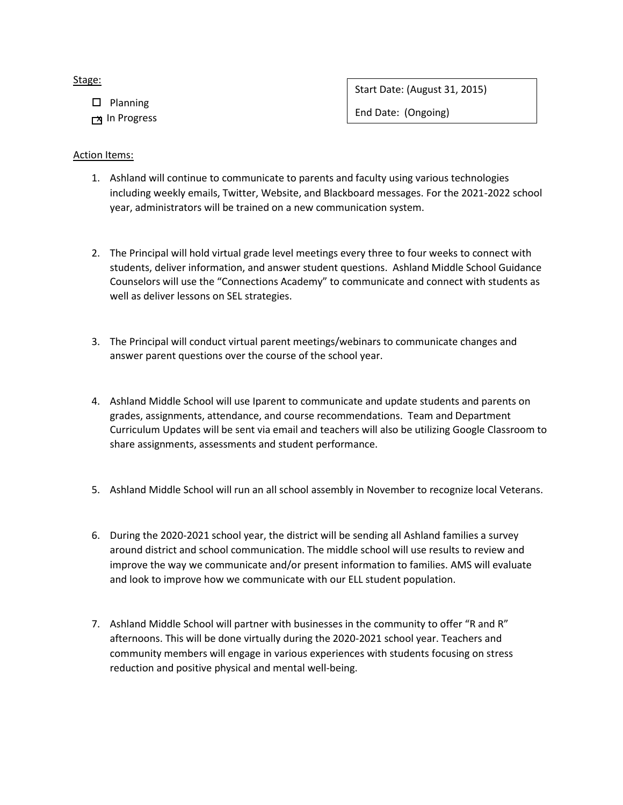#### Stage:

 $\square$  Planning

**x** In Progress

Start Date: (August 31, 2015)

End Date: (Ongoing)

#### Action Items:

- 1. Ashland will continue to communicate to parents and faculty using various technologies including weekly emails, Twitter, Website, and Blackboard messages. For the 2021-2022 school year, administrators will be trained on a new communication system.
- 2. The Principal will hold virtual grade level meetings every three to four weeks to connect with students, deliver information, and answer student questions. Ashland Middle School Guidance Counselors will use the "Connections Academy" to communicate and connect with students as well as deliver lessons on SEL strategies.
- 3. The Principal will conduct virtual parent meetings/webinars to communicate changes and answer parent questions over the course of the school year.
- 4. Ashland Middle School will use Iparent to communicate and update students and parents on grades, assignments, attendance, and course recommendations. Team and Department Curriculum Updates will be sent via email and teachers will also be utilizing Google Classroom to share assignments, assessments and student performance.
- 5. Ashland Middle School will run an all school assembly in November to recognize local Veterans.
- 6. During the 2020-2021 school year, the district will be sending all Ashland families a survey around district and school communication. The middle school will use results to review and improve the way we communicate and/or present information to families. AMS will evaluate and look to improve how we communicate with our ELL student population.
- 7. Ashland Middle School will partner with businesses in the community to offer "R and R" afternoons. This will be done virtually during the 2020-2021 school year. Teachers and community members will engage in various experiences with students focusing on stress reduction and positive physical and mental well-being.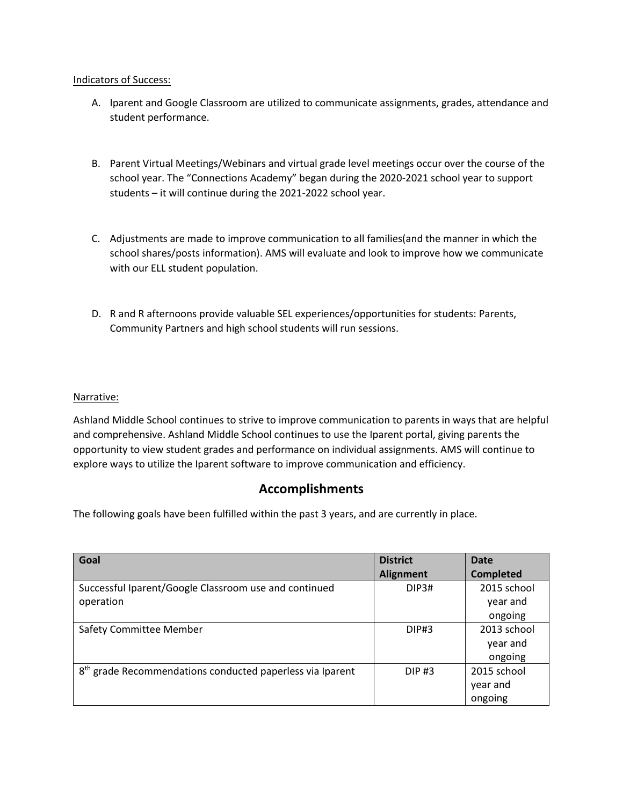#### Indicators of Success:

- A. Iparent and Google Classroom are utilized to communicate assignments, grades, attendance and student performance.
- B. Parent Virtual Meetings/Webinars and virtual grade level meetings occur over the course of the school year. The "Connections Academy" began during the 2020-2021 school year to support students – it will continue during the 2021-2022 school year.
- C. Adjustments are made to improve communication to all families(and the manner in which the school shares/posts information). AMS will evaluate and look to improve how we communicate with our ELL student population.
- D. R and R afternoons provide valuable SEL experiences/opportunities for students: Parents, Community Partners and high school students will run sessions.

#### Narrative:

Ashland Middle School continues to strive to improve communication to parents in ways that are helpful and comprehensive. Ashland Middle School continues to use the Iparent portal, giving parents the opportunity to view student grades and performance on individual assignments. AMS will continue to explore ways to utilize the Iparent software to improve communication and efficiency.

### **Accomplishments**

The following goals have been fulfilled within the past 3 years, and are currently in place.

| Goal                                                                  | <b>District</b>  | <b>Date</b>      |
|-----------------------------------------------------------------------|------------------|------------------|
|                                                                       | <b>Alignment</b> | <b>Completed</b> |
| Successful Iparent/Google Classroom use and continued                 | DIP3#            | 2015 school      |
| operation                                                             |                  | year and         |
|                                                                       |                  | ongoing          |
| <b>Safety Committee Member</b>                                        | DIP#3            | 2013 school      |
|                                                                       |                  | year and         |
|                                                                       |                  | ongoing          |
| 8 <sup>th</sup> grade Recommendations conducted paperless via Iparent | <b>DIP#3</b>     | 2015 school      |
|                                                                       |                  | year and         |
|                                                                       |                  | ongoing          |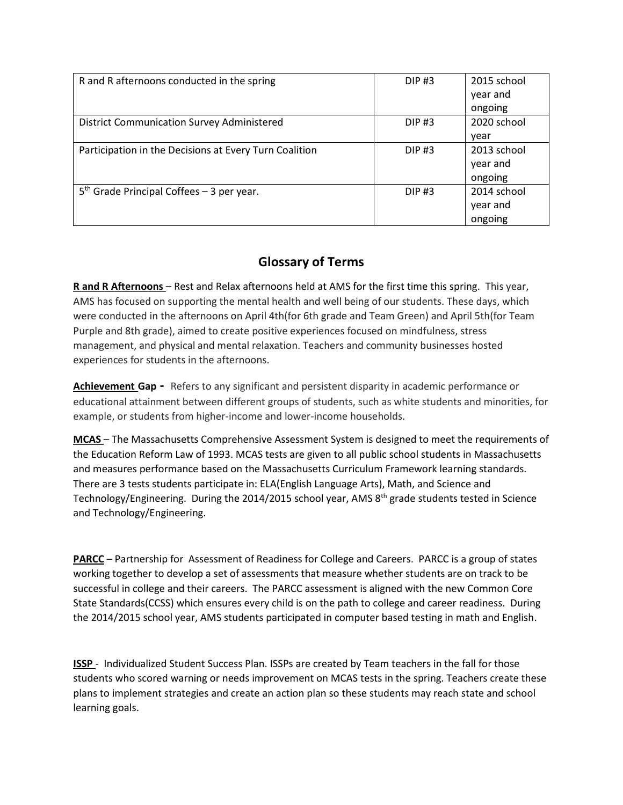| R and R afternoons conducted in the spring             | <b>DIP#3</b> | 2015 school |
|--------------------------------------------------------|--------------|-------------|
|                                                        |              | year and    |
|                                                        |              | ongoing     |
| <b>District Communication Survey Administered</b>      | <b>DIP#3</b> | 2020 school |
|                                                        |              | year        |
| Participation in the Decisions at Every Turn Coalition | <b>DIP#3</b> | 2013 school |
|                                                        |              | year and    |
|                                                        |              | ongoing     |
| $5th$ Grade Principal Coffees – 3 per year.            | <b>DIP#3</b> | 2014 school |
|                                                        |              | year and    |
|                                                        |              | ongoing     |

# **Glossary of Terms**

**R and R Afternoons** – Rest and Relax afternoons held at AMS for the first time this spring. This year, AMS has focused on supporting the mental health and well being of our students. These days, which were conducted in the afternoons on April 4th(for 6th grade and Team Green) and April 5th(for Team Purple and 8th grade), aimed to create positive experiences focused on mindfulness, stress management, and physical and mental relaxation. Teachers and community businesses hosted experiences for students in the afternoons.

**Achievement Gap -** Refers to any significant and persistent disparity in academic performance or educational attainment between different groups of students, such as white students and minorities, for example, or students from higher-income and lower-income households.

**MCAS** – The Massachusetts Comprehensive Assessment System is designed to meet the requirements of the Education Reform Law of 1993. MCAS tests are given to all public school students in Massachusetts and measures performance based on the Massachusetts Curriculum Framework learning standards. There are 3 tests students participate in: ELA(English Language Arts), Math, and Science and Technology/Engineering. During the 2014/2015 school year, AMS 8<sup>th</sup> grade students tested in Science and Technology/Engineering.

**PARCC** – Partnership for Assessment of Readiness for College and Careers. PARCC is a group of states working together to develop a set of assessments that measure whether students are on track to be successful in college and their careers. The PARCC assessment is aligned with the new Common Core State Standards(CCSS) which ensures every child is on the path to college and career readiness. During the 2014/2015 school year, AMS students participated in computer based testing in math and English.

**ISSP** - Individualized Student Success Plan. ISSPs are created by Team teachers in the fall for those students who scored warning or needs improvement on MCAS tests in the spring. Teachers create these plans to implement strategies and create an action plan so these students may reach state and school learning goals.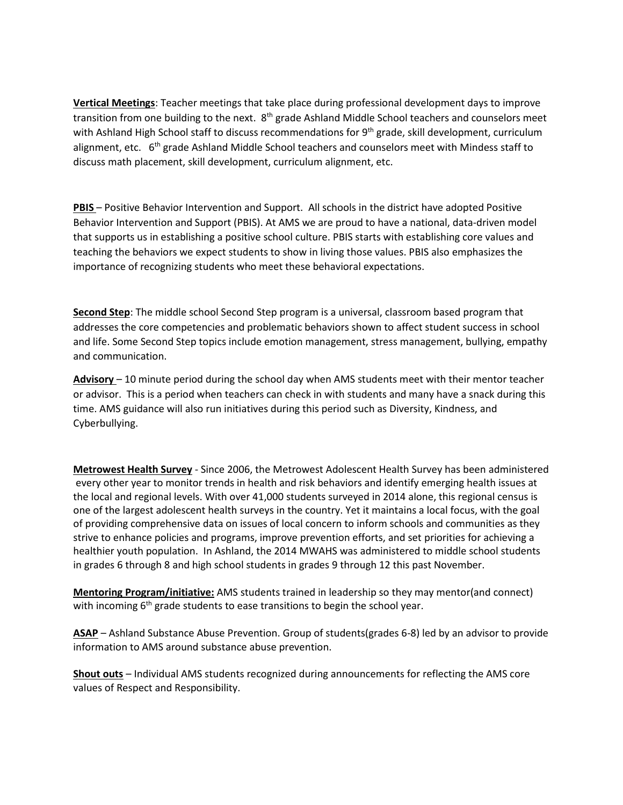**Vertical Meetings**: Teacher meetings that take place during professional development days to improve transition from one building to the next. 8<sup>th</sup> grade Ashland Middle School teachers and counselors meet with Ashland High School staff to discuss recommendations for 9<sup>th</sup> grade, skill development, curriculum alignment, etc.  $6<sup>th</sup>$  grade Ashland Middle School teachers and counselors meet with Mindess staff to discuss math placement, skill development, curriculum alignment, etc.

**PBIS** – Positive Behavior Intervention and Support. All schools in the district have adopted Positive Behavior Intervention and Support (PBIS). At AMS we are proud to have a national, data-driven model that supports us in establishing a positive school culture. PBIS starts with establishing core values and teaching the behaviors we expect students to show in living those values. PBIS also emphasizes the importance of recognizing students who meet these behavioral expectations.

**Second Step**: The middle school Second Step program is a universal, classroom based program that addresses the core competencies and problematic behaviors shown to affect student success in school and life. Some Second Step topics include emotion management, stress management, bullying, empathy and communication.

**Advisory** – 10 minute period during the school day when AMS students meet with their mentor teacher or advisor. This is a period when teachers can check in with students and many have a snack during this time. AMS guidance will also run initiatives during this period such as Diversity, Kindness, and Cyberbullying.

**Metrowest Health Survey** - Since 2006, the Metrowest Adolescent Health Survey has been administered every other year to monitor trends in health and risk behaviors and identify emerging health issues at the local and regional levels. With over 41,000 students surveyed in 2014 alone, this regional census is one of the largest adolescent health surveys in the country. Yet it maintains a local focus, with the goal of providing comprehensive data on issues of local concern to inform schools and communities as they strive to enhance policies and programs, improve prevention efforts, and set priorities for achieving a healthier youth population. In Ashland, the 2014 MWAHS was administered to middle school students in grades 6 through 8 and high school students in grades 9 through 12 this past November.

**Mentoring Program/initiative:** AMS students trained in leadership so they may mentor(and connect) with incoming 6<sup>th</sup> grade students to ease transitions to begin the school year.

**ASAP** – Ashland Substance Abuse Prevention. Group of students(grades 6-8) led by an advisor to provide information to AMS around substance abuse prevention.

**Shout outs** – Individual AMS students recognized during announcements for reflecting the AMS core values of Respect and Responsibility.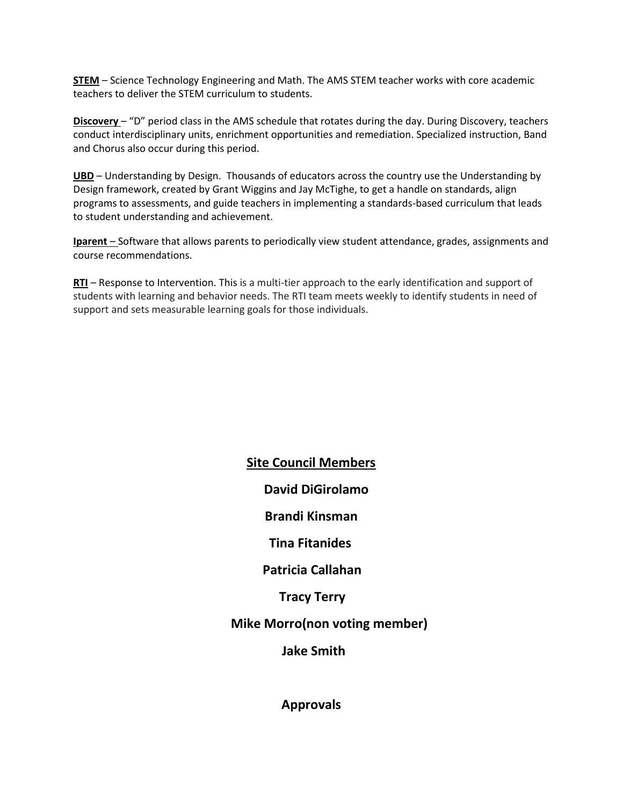**STEM** – Science Technology Engineering and Math. The AMS STEM teacher works with core academic teachers to deliver the STEM curriculum to students.

**Discovery** – "D" period class in the AMS schedule that rotates during the day. During Discovery, teachers conduct interdisciplinary units, enrichment opportunities and remediation. Specialized instruction, Band and Chorus also occur during this period.

**UBD** – Understanding by Design. Thousands of educators across the country use the Understanding by Design framework, created by Grant Wiggins and Jay McTighe, to get a handle on standards, align programs to assessments, and guide teachers in implementing a standards-based curriculum that leads to student understanding and achievement.

**Iparent** – Software that allows parents to periodically view student attendance, grades, assignments and course recommendations.

**RTI** – Response to Intervention. This is a multi-tier approach to the early identification and support of students with learning and behavior needs. The RTI team meets weekly to identify students in need of support and sets measurable learning goals for those individuals.

> **Site Council Members David DiGirolamo Brandi Kinsman Tina Fitanides Patricia Callahan Tracy Terry Mike Morro(non voting member) Jake Smith**

> > **Approvals**